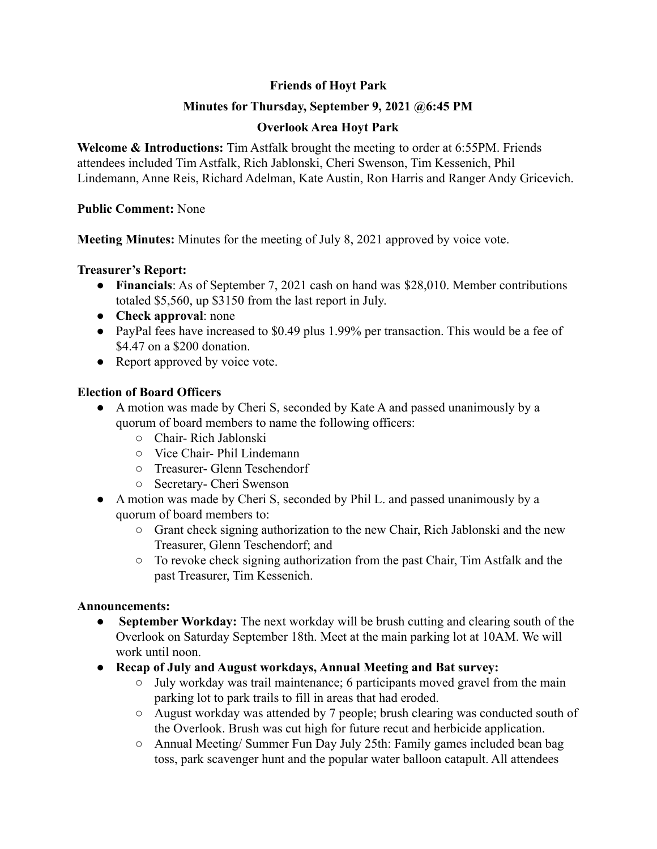# **Friends of Hoyt Park**

# **Minutes for Thursday, September 9, 2021 @6:45 PM**

# **Overlook Area Hoyt Park**

**Welcome & Introductions:** Tim Astfalk brought the meeting to order at 6:55PM. Friends attendees included Tim Astfalk, Rich Jablonski, Cheri Swenson, Tim Kessenich, Phil Lindemann, Anne Reis, Richard Adelman, Kate Austin, Ron Harris and Ranger Andy Gricevich.

## **Public Comment:** None

**Meeting Minutes:** Minutes for the meeting of July 8, 2021 approved by voice vote.

## **Treasurer's Report:**

- **Financials**: As of September 7, 2021 cash on hand was \$28,010. Member contributions totaled \$5,560, up \$3150 from the last report in July.
- **Check approval**: none
- PayPal fees have increased to \$0.49 plus 1.99% per transaction. This would be a fee of \$4.47 on a \$200 donation.
- Report approved by voice vote.

## **Election of Board Officers**

- A motion was made by Cheri S, seconded by Kate A and passed unanimously by a quorum of board members to name the following officers:
	- Chair- Rich Jablonski
	- Vice Chair- Phil Lindemann
	- Treasurer- Glenn Teschendorf
	- Secretary- Cheri Swenson
- A motion was made by Cheri S, seconded by Phil L. and passed unanimously by a quorum of board members to:
	- Grant check signing authorization to the new Chair, Rich Jablonski and the new Treasurer, Glenn Teschendorf; and
	- To revoke check signing authorization from the past Chair, Tim Astfalk and the past Treasurer, Tim Kessenich.

## **Announcements:**

- **● September Workday:** The next workday will be brush cutting and clearing south of the Overlook on Saturday September 18th. Meet at the main parking lot at 10AM. We will work until noon.
- **● Recap of July and August workdays, Annual Meeting and Bat survey:**
	- July workday was trail maintenance; 6 participants moved gravel from the main parking lot to park trails to fill in areas that had eroded.
	- August workday was attended by 7 people; brush clearing was conducted south of the Overlook. Brush was cut high for future recut and herbicide application.
	- Annual Meeting/ Summer Fun Day July 25th: Family games included bean bag toss, park scavenger hunt and the popular water balloon catapult. All attendees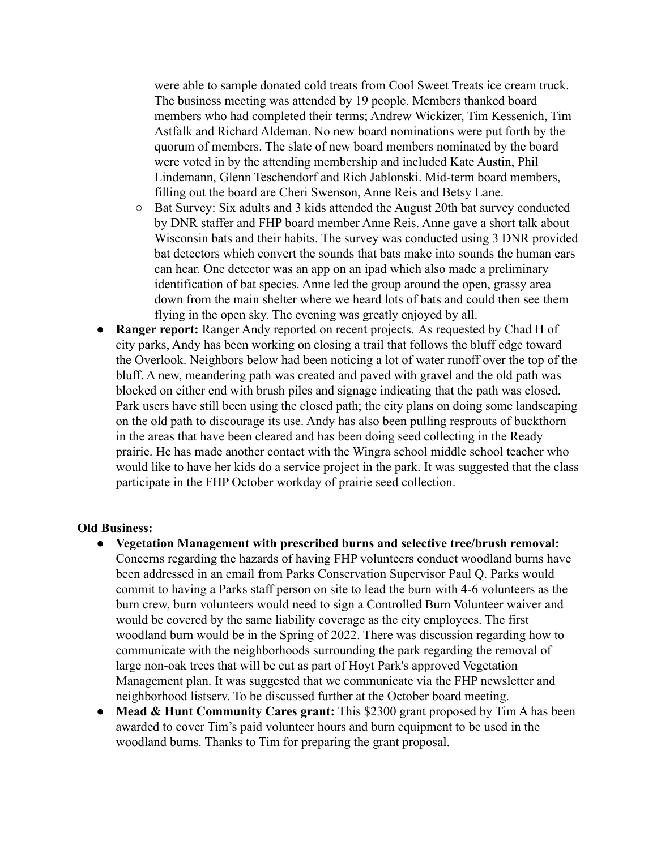were able to sample donated cold treats from Cool Sweet Treats ice cream truck. The business meeting was attended by 19 people. Members thanked board members who had completed their terms; Andrew Wickizer, Tim Kessenich, Tim Astfalk and Richard Aldeman. No new board nominations were put forth by the quorum of members. The slate of new board members nominated by the board were voted in by the attending membership and included Kate Austin, Phil Lindemann, Glenn Teschendorf and Rich Jablonski. Mid-term board members, filling out the board are Cheri Swenson, Anne Reis and Betsy Lane.

- Bat Survey: Six adults and 3 kids attended the August 20th bat survey conducted by DNR staffer and FHP board member Anne Reis. Anne gave a short talk about Wisconsin bats and their habits. The survey was conducted using 3 DNR provided bat detectors which convert the sounds that bats make into sounds the human ears can hear. One detector was an app on an ipad which also made a preliminary identification of bat species. Anne led the group around the open, grassy area down from the main shelter where we heard lots of bats and could then see them flying in the open sky. The evening was greatly enjoyed by all.
- **Ranger report:** Ranger Andy reported on recent projects. As requested by Chad H of city parks, Andy has been working on closing a trail that follows the bluff edge toward the Overlook. Neighbors below had been noticing a lot of water runoff over the top of the bluff. A new, meandering path was created and paved with gravel and the old path was blocked on either end with brush piles and signage indicating that the path was closed. Park users have still been using the closed path; the city plans on doing some landscaping on the old path to discourage its use. Andy has also been pulling resprouts of buckthorn in the areas that have been cleared and has been doing seed collecting in the Ready prairie. He has made another contact with the Wingra school middle school teacher who would like to have her kids do a service project in the park. It was suggested that the class participate in the FHP October workday of prairie seed collection.

#### **Old Business:**

- **● Vegetation Management with prescribed burns and selective tree/brush removal:** Concerns regarding the hazards of having FHP volunteers conduct woodland burns have been addressed in an email from Parks Conservation Supervisor Paul Q. Parks would commit to having a Parks staff person on site to lead the burn with 4-6 volunteers as the burn crew, burn volunteers would need to sign a Controlled Burn Volunteer waiver and would be covered by the same liability coverage as the city employees. The first woodland burn would be in the Spring of 2022. There was discussion regarding how to communicate with the neighborhoods surrounding the park regarding the removal of large non-oak trees that will be cut as part of Hoyt Park's approved Vegetation Management plan. It was suggested that we communicate via the FHP newsletter and neighborhood listserv. To be discussed further at the October board meeting.
- **Mead & Hunt Community Cares grant:** This \$2300 grant proposed by Tim A has been awarded to cover Tim's paid volunteer hours and burn equipment to be used in the woodland burns. Thanks to Tim for preparing the grant proposal.